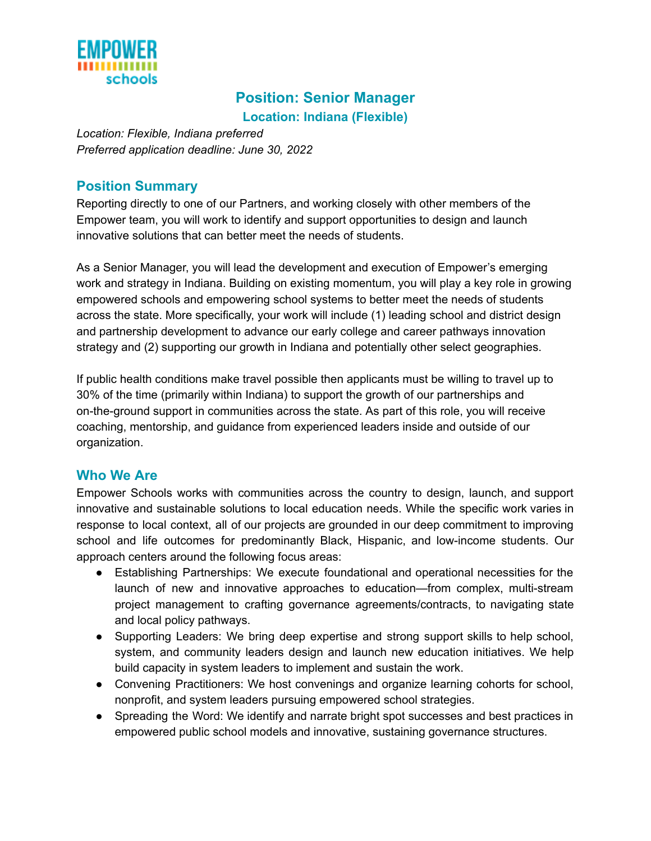

# **Position: Senior Manager Location: Indiana (Flexible)**

*Location: Flexible, Indiana preferred Preferred application deadline: June 30, 2022*

### **Position Summary**

Reporting directly to one of our Partners, and working closely with other members of the Empower team, you will work to identify and support opportunities to design and launch innovative solutions that can better meet the needs of students.

As a Senior Manager, you will lead the development and execution of Empower's emerging work and strategy in Indiana. Building on existing momentum, you will play a key role in growing empowered schools and empowering school systems to better meet the needs of students across the state. More specifically, your work will include (1) leading school and district design and partnership development to advance our early college and career pathways innovation strategy and (2) supporting our growth in Indiana and potentially other select geographies.

If public health conditions make travel possible then applicants must be willing to travel up to 30% of the time (primarily within Indiana) to support the growth of our partnerships and on-the-ground support in communities across the state. As part of this role, you will receive coaching, mentorship, and guidance from experienced leaders inside and outside of our organization.

#### **Who We Are**

Empower Schools works with communities across the country to design, launch, and support innovative and sustainable solutions to local education needs. While the specific work varies in response to local context, all of our projects are grounded in our deep commitment to improving school and life outcomes for predominantly Black, Hispanic, and low-income students. Our approach centers around the following focus areas:

- Establishing Partnerships: We execute foundational and operational necessities for the launch of new and innovative approaches to education—from complex, multi-stream project management to crafting governance agreements/contracts, to navigating state and local policy pathways.
- Supporting Leaders: We bring deep expertise and strong support skills to help school, system, and community leaders design and launch new education initiatives. We help build capacity in system leaders to implement and sustain the work.
- Convening Practitioners: We host convenings and organize learning cohorts for school, nonprofit, and system leaders pursuing empowered school strategies.
- Spreading the Word: We identify and narrate bright spot successes and best practices in empowered public school models and innovative, sustaining governance structures.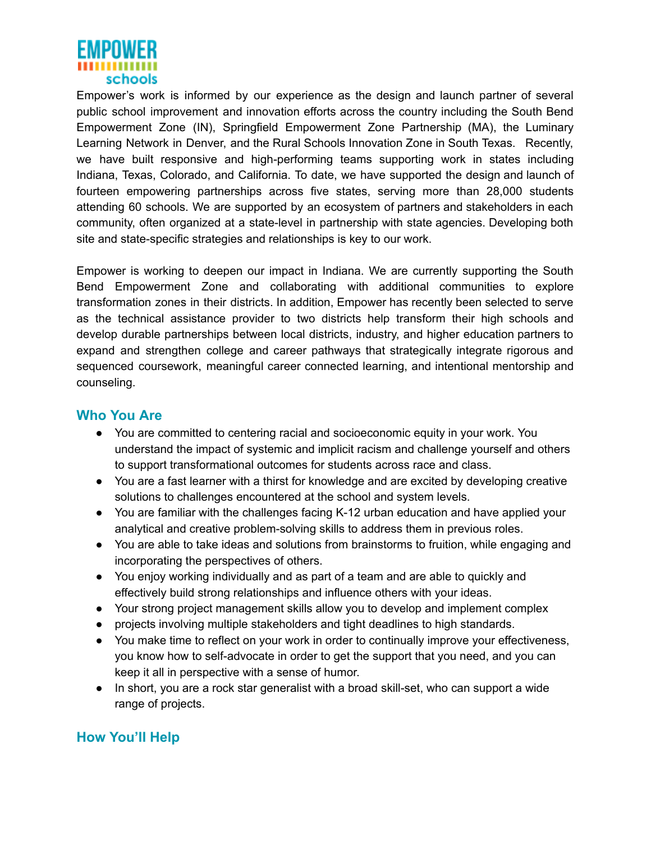

Empower's work is informed by our experience as the design and launch partner of several public school improvement and innovation efforts across the country including the South Bend Empowerment Zone (IN), Springfield Empowerment Zone Partnership (MA), the Luminary Learning Network in Denver, and the Rural Schools Innovation Zone in South Texas. Recently, we have built responsive and high-performing teams supporting work in states including Indiana, Texas, Colorado, and California. To date, we have supported the design and launch of fourteen empowering partnerships across five states, serving more than 28,000 students attending 60 schools. We are supported by an ecosystem of partners and stakeholders in each community, often organized at a state-level in partnership with state agencies. Developing both site and state-specific strategies and relationships is key to our work.

Empower is working to deepen our impact in Indiana. We are currently supporting the South Bend Empowerment Zone and collaborating with additional communities to explore transformation zones in their districts. In addition, Empower has recently been selected to serve as the technical assistance provider to two districts help transform their high schools and develop durable partnerships between local districts, industry, and higher education partners to expand and strengthen college and career pathways that strategically integrate rigorous and sequenced coursework, meaningful career connected learning, and intentional mentorship and counseling.

#### **Who You Are**

- You are committed to centering racial and socioeconomic equity in your work. You understand the impact of systemic and implicit racism and challenge yourself and others to support transformational outcomes for students across race and class.
- You are a fast learner with a thirst for knowledge and are excited by developing creative solutions to challenges encountered at the school and system levels.
- You are familiar with the challenges facing K-12 urban education and have applied your analytical and creative problem-solving skills to address them in previous roles.
- You are able to take ideas and solutions from brainstorms to fruition, while engaging and incorporating the perspectives of others.
- You enjoy working individually and as part of a team and are able to quickly and effectively build strong relationships and influence others with your ideas.
- Your strong project management skills allow you to develop and implement complex
- projects involving multiple stakeholders and tight deadlines to high standards.
- You make time to reflect on your work in order to continually improve your effectiveness, you know how to self-advocate in order to get the support that you need, and you can keep it all in perspective with a sense of humor.
- In short, you are a rock star generalist with a broad skill-set, who can support a wide range of projects.

# **How You'll Help**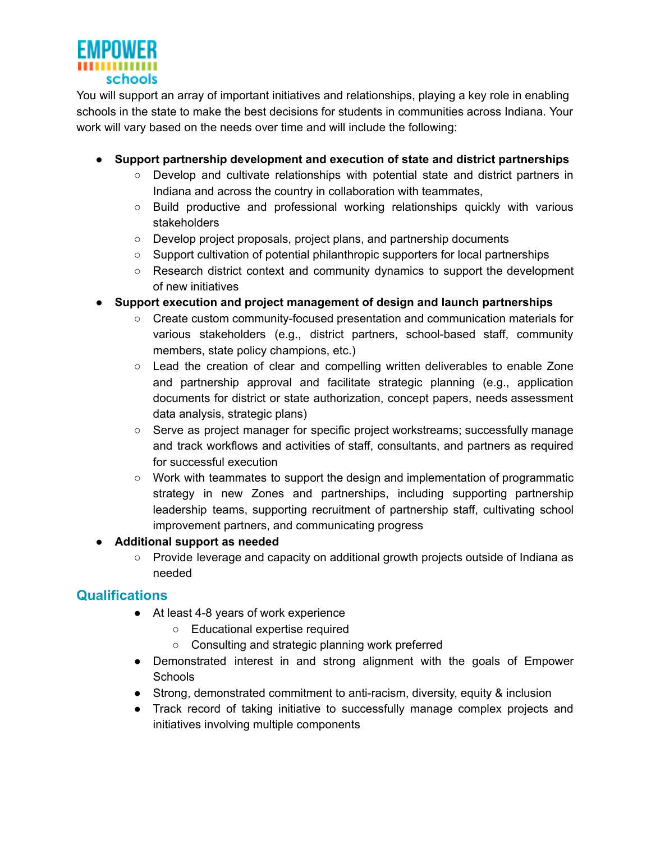

You will support an array of important initiatives and relationships, playing a key role in enabling schools in the state to make the best decisions for students in communities across Indiana. Your work will vary based on the needs over time and will include the following:

- **● Support partnership development and execution of state and district partnerships**
	- Develop and cultivate relationships with potential state and district partners in Indiana and across the country in collaboration with teammates,
	- *○* Build productive and professional working relationships quickly with various stakeholders
	- *○* Develop project proposals, project plans, and partnership documents
	- *○* Support cultivation of potential philanthropic supporters for local partnerships
	- *○* Research district context and community dynamics to support the development of new initiatives
- **● Support execution and project management of design and launch partnerships**
	- Create custom community-focused presentation and communication materials for various stakeholders (e.g., district partners, school-based staff, community members, state policy champions, etc.)
	- Lead the creation of clear and compelling written deliverables to enable Zone and partnership approval and facilitate strategic planning (e.g., application documents for district or state authorization, concept papers, needs assessment data analysis, strategic plans)
	- Serve as project manager for specific project workstreams; successfully manage and track workflows and activities of staff, consultants, and partners as required for successful execution
	- Work with teammates to support the design and implementation of programmatic strategy in new Zones and partnerships, including supporting partnership leadership teams, supporting recruitment of partnership staff, cultivating school improvement partners, and communicating progress

**● Additional support as needed**

○ Provide leverage and capacity on additional growth projects outside of Indiana as needed

# **Qualifications**

- At least 4-8 years of work experience
	- Educational expertise required
	- Consulting and strategic planning work preferred
- Demonstrated interest in and strong alignment with the goals of Empower Schools
- Strong, demonstrated commitment to anti-racism, diversity, equity & inclusion
- Track record of taking initiative to successfully manage complex projects and initiatives involving multiple components